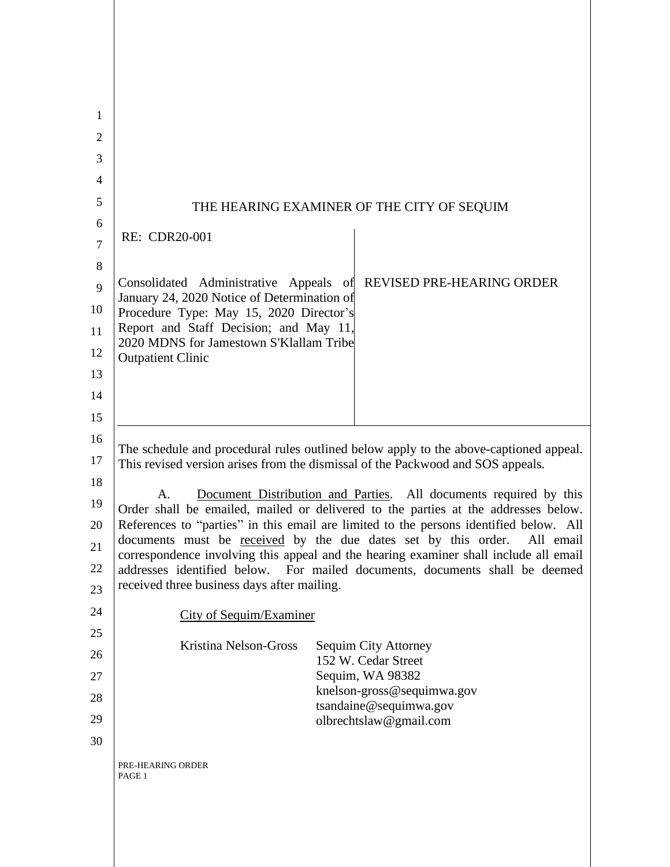| 1<br>2         |                                                                                                                                                                                                                                                                                                                                                                                                                                                                                                                                                                                                                                                                                                                                        |  |  |
|----------------|----------------------------------------------------------------------------------------------------------------------------------------------------------------------------------------------------------------------------------------------------------------------------------------------------------------------------------------------------------------------------------------------------------------------------------------------------------------------------------------------------------------------------------------------------------------------------------------------------------------------------------------------------------------------------------------------------------------------------------------|--|--|
| 3              |                                                                                                                                                                                                                                                                                                                                                                                                                                                                                                                                                                                                                                                                                                                                        |  |  |
| 4              |                                                                                                                                                                                                                                                                                                                                                                                                                                                                                                                                                                                                                                                                                                                                        |  |  |
| 5              |                                                                                                                                                                                                                                                                                                                                                                                                                                                                                                                                                                                                                                                                                                                                        |  |  |
| 6              | THE HEARING EXAMINER OF THE CITY OF SEQUIM                                                                                                                                                                                                                                                                                                                                                                                                                                                                                                                                                                                                                                                                                             |  |  |
| $\overline{7}$ | RE: CDR20-001                                                                                                                                                                                                                                                                                                                                                                                                                                                                                                                                                                                                                                                                                                                          |  |  |
| 8              |                                                                                                                                                                                                                                                                                                                                                                                                                                                                                                                                                                                                                                                                                                                                        |  |  |
| 9              | Consolidated Administrative Appeals of<br>REVISED PRE-HEARING ORDER                                                                                                                                                                                                                                                                                                                                                                                                                                                                                                                                                                                                                                                                    |  |  |
| 10             | January 24, 2020 Notice of Determination of<br>Procedure Type: May 15, 2020 Director's                                                                                                                                                                                                                                                                                                                                                                                                                                                                                                                                                                                                                                                 |  |  |
| 11             | Report and Staff Decision; and May 11,                                                                                                                                                                                                                                                                                                                                                                                                                                                                                                                                                                                                                                                                                                 |  |  |
| 12             | 2020 MDNS for Jamestown S'Klallam Tribe<br><b>Outpatient Clinic</b>                                                                                                                                                                                                                                                                                                                                                                                                                                                                                                                                                                                                                                                                    |  |  |
| 13             |                                                                                                                                                                                                                                                                                                                                                                                                                                                                                                                                                                                                                                                                                                                                        |  |  |
| 14             |                                                                                                                                                                                                                                                                                                                                                                                                                                                                                                                                                                                                                                                                                                                                        |  |  |
| 15             |                                                                                                                                                                                                                                                                                                                                                                                                                                                                                                                                                                                                                                                                                                                                        |  |  |
| 16             | The schedule and procedural rules outlined below apply to the above-captioned appeal.<br>This revised version arises from the dismissal of the Packwood and SOS appeals.<br>Document Distribution and Parties. All documents required by this<br>A.<br>Order shall be emailed, mailed or delivered to the parties at the addresses below.<br>References to "parties" in this email are limited to the persons identified below. All<br>documents must be received by the due dates set by this order. All email<br>correspondence involving this appeal and the hearing examiner shall include all email<br>addresses identified below. For mailed documents, documents shall be deemed<br>received three business days after mailing. |  |  |
| 17             |                                                                                                                                                                                                                                                                                                                                                                                                                                                                                                                                                                                                                                                                                                                                        |  |  |
| 18             |                                                                                                                                                                                                                                                                                                                                                                                                                                                                                                                                                                                                                                                                                                                                        |  |  |
| 19             |                                                                                                                                                                                                                                                                                                                                                                                                                                                                                                                                                                                                                                                                                                                                        |  |  |
| 20             |                                                                                                                                                                                                                                                                                                                                                                                                                                                                                                                                                                                                                                                                                                                                        |  |  |
| 21<br>22       |                                                                                                                                                                                                                                                                                                                                                                                                                                                                                                                                                                                                                                                                                                                                        |  |  |
| 23             |                                                                                                                                                                                                                                                                                                                                                                                                                                                                                                                                                                                                                                                                                                                                        |  |  |
| 24             |                                                                                                                                                                                                                                                                                                                                                                                                                                                                                                                                                                                                                                                                                                                                        |  |  |
| 25             | <b>City of Sequim/Examiner</b>                                                                                                                                                                                                                                                                                                                                                                                                                                                                                                                                                                                                                                                                                                         |  |  |
| 26             | Kristina Nelson-Gross<br><b>Sequim City Attorney</b><br>152 W. Cedar Street                                                                                                                                                                                                                                                                                                                                                                                                                                                                                                                                                                                                                                                            |  |  |
| 27             | Sequim, WA 98382                                                                                                                                                                                                                                                                                                                                                                                                                                                                                                                                                                                                                                                                                                                       |  |  |
| 28             | knelson-gross@sequimwa.gov<br>tsandaine@sequimwa.gov                                                                                                                                                                                                                                                                                                                                                                                                                                                                                                                                                                                                                                                                                   |  |  |
| 29             | olbrechtslaw@gmail.com                                                                                                                                                                                                                                                                                                                                                                                                                                                                                                                                                                                                                                                                                                                 |  |  |
| 30             |                                                                                                                                                                                                                                                                                                                                                                                                                                                                                                                                                                                                                                                                                                                                        |  |  |
|                | PRE-HEARING ORDER<br>PAGE 1                                                                                                                                                                                                                                                                                                                                                                                                                                                                                                                                                                                                                                                                                                            |  |  |
|                |                                                                                                                                                                                                                                                                                                                                                                                                                                                                                                                                                                                                                                                                                                                                        |  |  |
|                |                                                                                                                                                                                                                                                                                                                                                                                                                                                                                                                                                                                                                                                                                                                                        |  |  |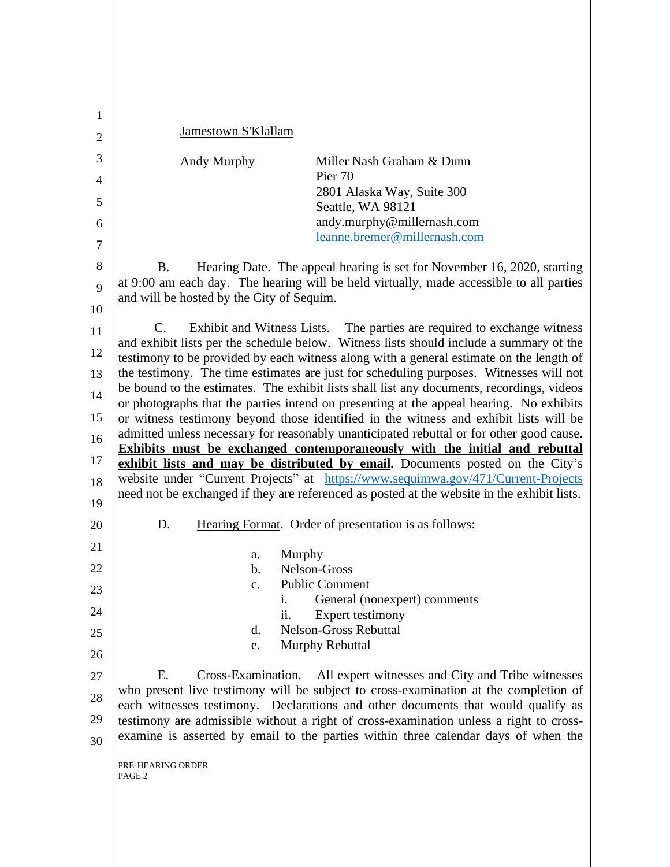| 1  |                                                                                                                                                                                      |                                                                                                                                                                                    |  |
|----|--------------------------------------------------------------------------------------------------------------------------------------------------------------------------------------|------------------------------------------------------------------------------------------------------------------------------------------------------------------------------------|--|
| 2  | Jamestown S'Klallam                                                                                                                                                                  |                                                                                                                                                                                    |  |
| 3  | Andy Murphy                                                                                                                                                                          | Miller Nash Graham & Dunn                                                                                                                                                          |  |
| 4  |                                                                                                                                                                                      | Pier 70                                                                                                                                                                            |  |
| 5  |                                                                                                                                                                                      | 2801 Alaska Way, Suite 300<br>Seattle, WA 98121                                                                                                                                    |  |
| 6  |                                                                                                                                                                                      | andy.murphy@millernash.com                                                                                                                                                         |  |
| 7  |                                                                                                                                                                                      | leanne.bremer@millernash.com                                                                                                                                                       |  |
| 8  | <b>B.</b>                                                                                                                                                                            | Hearing Date. The appeal hearing is set for November 16, 2020, starting                                                                                                            |  |
| 9  | at 9:00 am each day. The hearing will be held virtually, made accessible to all parties                                                                                              |                                                                                                                                                                                    |  |
| 10 | and will be hosted by the City of Sequim.                                                                                                                                            |                                                                                                                                                                                    |  |
| 11 | C.                                                                                                                                                                                   | <b>Exhibit and Witness Lists.</b> The parties are required to exchange witness                                                                                                     |  |
| 12 |                                                                                                                                                                                      | and exhibit lists per the schedule below. Witness lists should include a summary of the<br>testimony to be provided by each witness along with a general estimate on the length of |  |
| 13 | the testimony. The time estimates are just for scheduling purposes. Witnesses will not                                                                                               |                                                                                                                                                                                    |  |
| 14 | be bound to the estimates. The exhibit lists shall list any documents, recordings, videos<br>or photographs that the parties intend on presenting at the appeal hearing. No exhibits |                                                                                                                                                                                    |  |
| 15 | or witness testimony beyond those identified in the witness and exhibit lists will be                                                                                                |                                                                                                                                                                                    |  |
| 16 | admitted unless necessary for reasonably unanticipated rebuttal or for other good cause.                                                                                             |                                                                                                                                                                                    |  |
| 17 | <b>Exhibits must be exchanged contemporaneously with the initial and rebuttal</b><br>exhibit lists and may be distributed by email. Documents posted on the City's                   |                                                                                                                                                                                    |  |
| 18 | website under "Current Projects" at https://www.sequimwa.gov/471/Current-Projects                                                                                                    |                                                                                                                                                                                    |  |
| 19 |                                                                                                                                                                                      | need not be exchanged if they are referenced as posted at the website in the exhibit lists.                                                                                        |  |
| 20 | D.                                                                                                                                                                                   | Hearing Format. Order of presentation is as follows:                                                                                                                               |  |
| 21 | Murphy<br>a.                                                                                                                                                                         |                                                                                                                                                                                    |  |
| 22 | b.                                                                                                                                                                                   | Nelson-Gross                                                                                                                                                                       |  |
| 23 | $\mathbf{c}$ .                                                                                                                                                                       | <b>Public Comment</b>                                                                                                                                                              |  |
| 24 | 1.<br>ii.                                                                                                                                                                            | General (nonexpert) comments<br>Expert testimony                                                                                                                                   |  |
| 25 | d.                                                                                                                                                                                   | <b>Nelson-Gross Rebuttal</b>                                                                                                                                                       |  |
| 26 | e.                                                                                                                                                                                   | Murphy Rebuttal                                                                                                                                                                    |  |
| 27 | Ε.                                                                                                                                                                                   | Cross-Examination. All expert witnesses and City and Tribe witnesses                                                                                                               |  |
| 28 | who present live testimony will be subject to cross-examination at the completion of                                                                                                 |                                                                                                                                                                                    |  |
| 29 | each witnesses testimony. Declarations and other documents that would qualify as<br>testimony are admissible without a right of cross-examination unless a right to cross-           |                                                                                                                                                                                    |  |
| 30 | examine is asserted by email to the parties within three calendar days of when the                                                                                                   |                                                                                                                                                                                    |  |
|    | PRE-HEARING ORDER<br>PAGE 2                                                                                                                                                          |                                                                                                                                                                                    |  |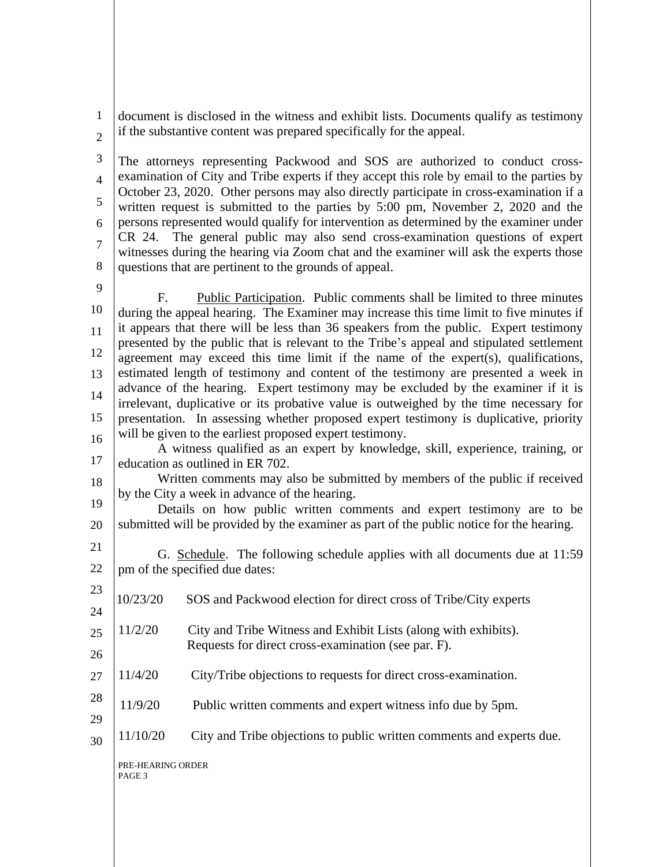1 document is disclosed in the witness and exhibit lists. Documents qualify as testimony if the substantive content was prepared specifically for the appeal.

2

3 4 5 6 7 8 The attorneys representing Packwood and SOS are authorized to conduct crossexamination of City and Tribe experts if they accept this role by email to the parties by October 23, 2020. Other persons may also directly participate in cross-examination if a written request is submitted to the parties by 5:00 pm, November 2, 2020 and the persons represented would qualify for intervention as determined by the examiner under CR 24. The general public may also send cross-examination questions of expert witnesses during the hearing via Zoom chat and the examiner will ask the experts those questions that are pertinent to the grounds of appeal.

9

10 11 12 13 14 15 16 F. Public Participation. Public comments shall be limited to three minutes during the appeal hearing. The Examiner may increase this time limit to five minutes if it appears that there will be less than 36 speakers from the public. Expert testimony presented by the public that is relevant to the Tribe's appeal and stipulated settlement agreement may exceed this time limit if the name of the expert(s), qualifications, estimated length of testimony and content of the testimony are presented a week in advance of the hearing. Expert testimony may be excluded by the examiner if it is irrelevant, duplicative or its probative value is outweighed by the time necessary for presentation. In assessing whether proposed expert testimony is duplicative, priority will be given to the earliest proposed expert testimony.

17 A witness qualified as an expert by knowledge, skill, experience, training, or education as outlined in ER 702.

18 19 Written comments may also be submitted by members of the public if received by the City a week in advance of the hearing.

20 Details on how public written comments and expert testimony are to be submitted will be provided by the examiner as part of the public notice for the hearing.

- 21 22 G. Schedule. The following schedule applies with all documents due at 11:59 pm of the specified due dates:
- 23 24 25 26 10/23/20 SOS and Packwood election for direct cross of Tribe/City experts 11/2/20 City and Tribe Witness and Exhibit Lists (along with exhibits). Requests for direct cross-examination (see par. F).
- 27 11/4/20 City/Tribe objections to requests for direct cross-examination.
- 28 11/9/20 Public written comments and expert witness info due by 5pm.
- 30 11/10/20 City and Tribe objections to public written comments and experts due.

PRE-HEARING ORDER PAGE 3

29